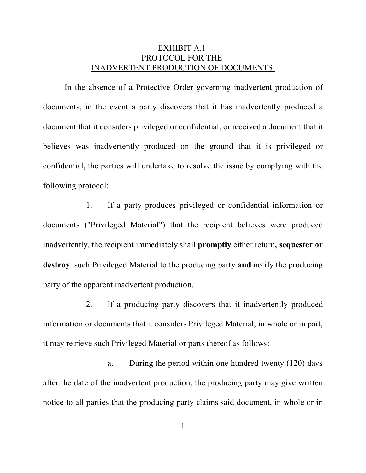## EXHIBIT A.1 PROTOCOL FOR THE INADVERTENT PRODUCTION OF DOCUMENTS

In the absence of a Protective Order governing inadvertent production of documents, in the event a party discovers that it has inadvertently produced a document that it considers privileged or confidential, or received a document that it believes was inadvertently produced on the ground that it is privileged or confidential, the parties will undertake to resolve the issue by complying with the following protocol:

1. If a party produces privileged or confidential information or documents ("Privileged Material") that the recipient believes were produced inadvertently, the recipient immediately shall **promptly** either return**, sequester or destroy** such Privileged Material to the producing party **and** notify the producing party of the apparent inadvertent production.

2. If a producing party discovers that it inadvertently produced information or documents that it considers Privileged Material, in whole or in part, it may retrieve such Privileged Material or parts thereof as follows:

a. During the period within one hundred twenty (120) days after the date of the inadvertent production, the producing party may give written notice to all parties that the producing party claims said document, in whole or in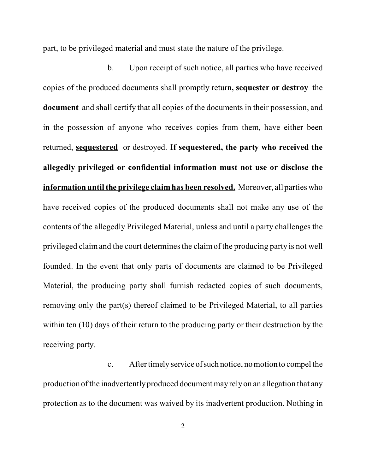part, to be privileged material and must state the nature of the privilege.

b. Upon receipt of such notice, all parties who have received copies of the produced documents shall promptly return**, sequester or destroy** the **document** and shall certify that all copies of the documents in their possession, and in the possession of anyone who receives copies from them, have either been returned, **sequestered** or destroyed. **If sequestered, the party who received the allegedly privileged or confidential information must not use or disclose the information until the privilege claim has been resolved.** Moreover, all parties who have received copies of the produced documents shall not make any use of the contents of the allegedly Privileged Material, unless and until a party challenges the privileged claim and the court determines the claim of the producing party is not well founded. In the event that only parts of documents are claimed to be Privileged Material, the producing party shall furnish redacted copies of such documents, removing only the part(s) thereof claimed to be Privileged Material, to all parties within ten (10) days of their return to the producing party or their destruction by the receiving party.

c. After timely service ofsuch notice, no motion to compel the production of the inadvertently produced document may rely on an allegation that any protection as to the document was waived by its inadvertent production. Nothing in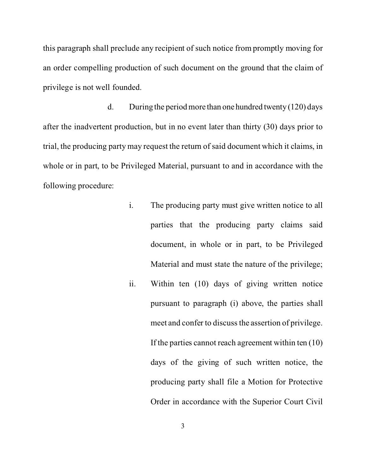this paragraph shall preclude any recipient of such notice from promptly moving for an order compelling production of such document on the ground that the claim of privilege is not well founded.

d. During the period more than one hundred twenty (120) days after the inadvertent production, but in no event later than thirty (30) days prior to trial, the producing party may request the return of said document which it claims, in whole or in part, to be Privileged Material, pursuant to and in accordance with the following procedure:

- i. The producing party must give written notice to all parties that the producing party claims said document, in whole or in part, to be Privileged Material and must state the nature of the privilege;
- ii. Within ten (10) days of giving written notice pursuant to paragraph (i) above, the parties shall meet and confer to discuss the assertion of privilege. If the parties cannot reach agreement within ten (10) days of the giving of such written notice, the producing party shall file a Motion for Protective Order in accordance with the Superior Court Civil

3